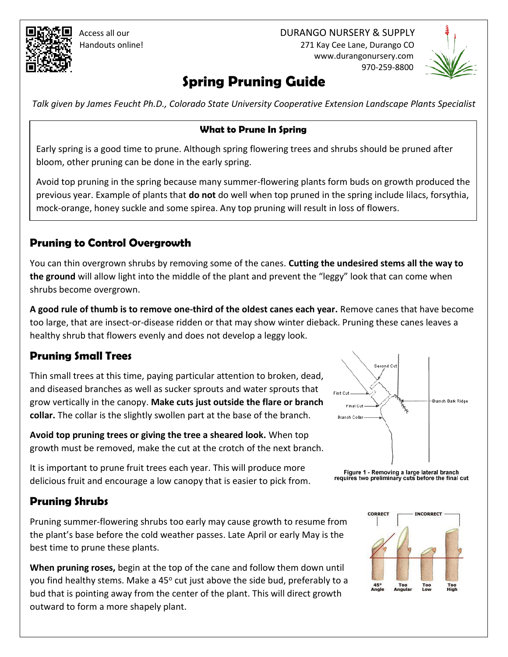

 Access all our DURANGO NURSERY & SUPPLY Handouts online! 271 Kay Cee Lane, Durango CO www.durangonursery.com 970-259-8800



# **Spring Pruning Guide**

*Talk given by James Feucht Ph.D., Colorado State University Cooperative Extension Landscape Plants Specialist*

### **What to Prune In Spring**

Early spring is a good time to prune. Although spring flowering trees and shrubs should be pruned after bloom, other pruning can be done in the early spring.

Avoid top pruning in the spring because many summer-flowering plants form buds on growth produced the previous year. Example of plants that **do not** do well when top pruned in the spring include lilacs, forsythia, mock-orange, honey suckle and some spirea. Any top pruning will result in loss of flowers.

## **Pruning to Control Overgrowth**

You can thin overgrown shrubs by removing some of the canes. **Cutting the undesired stems all the way to the ground** will allow light into the middle of the plant and prevent the "leggy" look that can come when shrubs become overgrown.

**A good rule of thumb is to remove one-third of the oldest canes each year.** Remove canes that have become too large, that are insect-or-disease ridden or that may show winter dieback. Pruning these canes leaves a healthy shrub that flowers evenly and does not develop a leggy look.

# **Pruning Small Trees**

Thin small trees at this time, paying particular attention to broken, dead, and diseased branches as well as sucker sprouts and water sprouts that grow vertically in the canopy. **Make cuts just outside the flare or branch collar.** The collar is the slightly swollen part at the base of the branch.

**Avoid top pruning trees or giving the tree a sheared look.** When top growth must be removed, make the cut at the crotch of the next branch.

It is important to prune fruit trees each year. This will produce more delicious fruit and encourage a low canopy that is easier to pick from.

## **Pruning Shrubs**

Pruning summer-flowering shrubs too early may cause growth to resume from the plant's base before the cold weather passes. Late April or early May is the best time to prune these plants.

**When pruning roses,** begin at the top of the cane and follow them down until you find healthy stems. Make a 45<sup>o</sup> cut just above the side bud, preferably to a bud that is pointing away from the center of the plant. This will direct growth outward to form a more shapely plant.



Figure 1 - Removing a large lateral branch<br>requires two preliminary cuts before the final cut